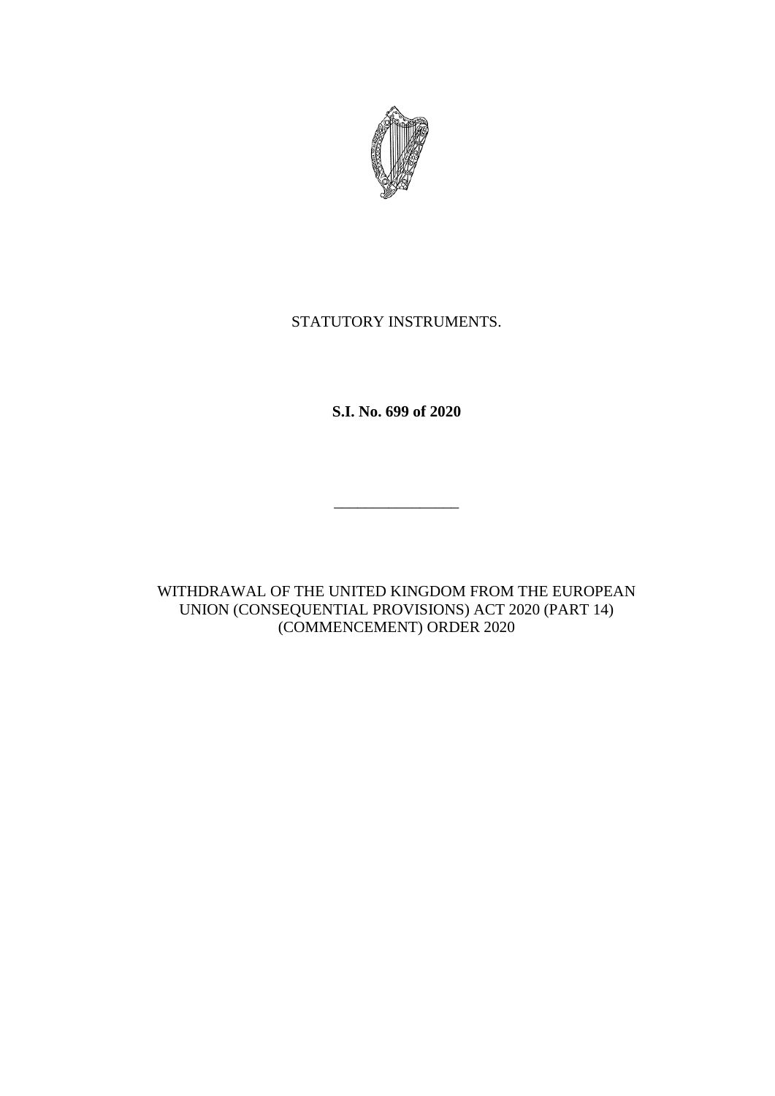

# STATUTORY INSTRUMENTS.

**S.I. No. 699 of 2020**

WITHDRAWAL OF THE UNITED KINGDOM FROM THE EUROPEAN UNION (CONSEQUENTIAL PROVISIONS) ACT 2020 (PART 14) (COMMENCEMENT) ORDER 2020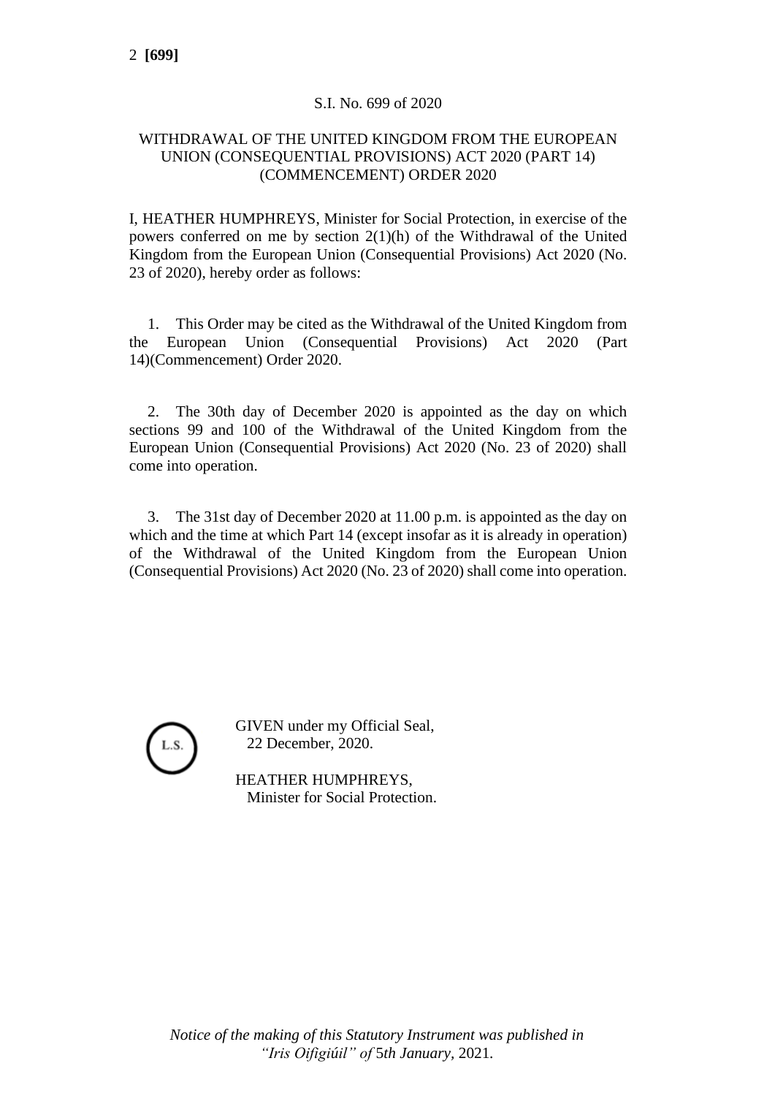#### S.I. No. 699 of 2020

## WITHDRAWAL OF THE UNITED KINGDOM FROM THE EUROPEAN UNION (CONSEQUENTIAL PROVISIONS) ACT 2020 (PART 14) (COMMENCEMENT) ORDER 2020

I, HEATHER HUMPHREYS, Minister for Social Protection, in exercise of the powers conferred on me by section 2(1)(h) of the Withdrawal of the United Kingdom from the European Union (Consequential Provisions) Act 2020 (No. 23 of 2020), hereby order as follows:

1. This Order may be cited as the Withdrawal of the United Kingdom from the European Union (Consequential Provisions) Act 2020 (Part 14)(Commencement) Order 2020.

2. The 30th day of December 2020 is appointed as the day on which sections 99 and 100 of the Withdrawal of the United Kingdom from the European Union (Consequential Provisions) Act 2020 (No. 23 of 2020) shall come into operation.

3. The 31st day of December 2020 at 11.00 p.m. is appointed as the day on which and the time at which Part 14 (except insofar as it is already in operation) of the Withdrawal of the United Kingdom from the European Union (Consequential Provisions) Act 2020 (No. 23 of 2020) shall come into operation.



GIVEN under my Official Seal, 22 December, 2020.

HEATHER HUMPHREYS, Minister for Social Protection.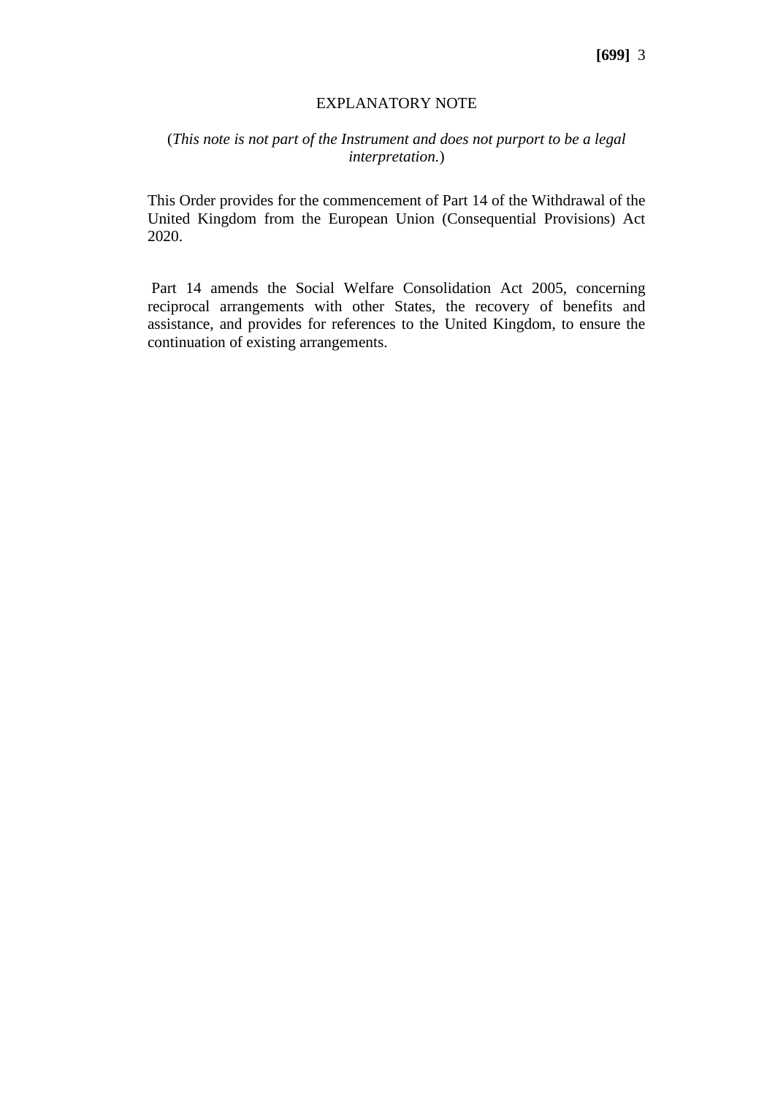#### EXPLANATORY NOTE

## (*This note is not part of the Instrument and does not purport to be a legal interpretation.*)

This Order provides for the commencement of Part 14 of the Withdrawal of the United Kingdom from the European Union (Consequential Provisions) Act 2020.

Part 14 amends the Social Welfare Consolidation Act 2005, concerning reciprocal arrangements with other States, the recovery of benefits and assistance, and provides for references to the United Kingdom, to ensure the continuation of existing arrangements.